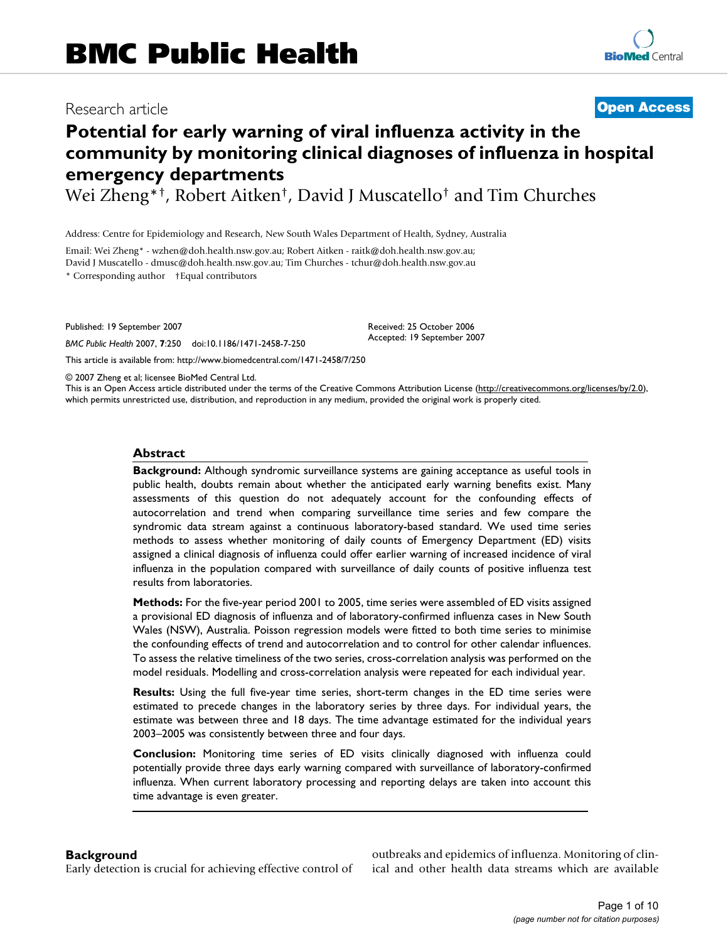# Research article **[Open Access](http://www.biomedcentral.com/info/about/charter/)**

# **Potential for early warning of viral influenza activity in the community by monitoring clinical diagnoses of influenza in hospital emergency departments**

Wei Zheng\*†, Robert Aitken†, David J Muscatello† and Tim Churches

Address: Centre for Epidemiology and Research, New South Wales Department of Health, Sydney, Australia

Email: Wei Zheng\* - wzhen@doh.health.nsw.gov.au; Robert Aitken - raitk@doh.health.nsw.gov.au; David J Muscatello - dmusc@doh.health.nsw.gov.au; Tim Churches - tchur@doh.health.nsw.gov.au \* Corresponding author †Equal contributors

Published: 19 September 2007

*BMC Public Health* 2007, **7**:250 doi:10.1186/1471-2458-7-250

[This article is available from: http://www.biomedcentral.com/1471-2458/7/250](http://www.biomedcentral.com/1471-2458/7/250)

© 2007 Zheng et al; licensee BioMed Central Ltd.

This is an Open Access article distributed under the terms of the Creative Commons Attribution License [\(http://creativecommons.org/licenses/by/2.0\)](http://creativecommons.org/licenses/by/2.0), which permits unrestricted use, distribution, and reproduction in any medium, provided the original work is properly cited.

Received: 25 October 2006 Accepted: 19 September 2007

#### **Abstract**

**Background:** Although syndromic surveillance systems are gaining acceptance as useful tools in public health, doubts remain about whether the anticipated early warning benefits exist. Many assessments of this question do not adequately account for the confounding effects of autocorrelation and trend when comparing surveillance time series and few compare the syndromic data stream against a continuous laboratory-based standard. We used time series methods to assess whether monitoring of daily counts of Emergency Department (ED) visits assigned a clinical diagnosis of influenza could offer earlier warning of increased incidence of viral influenza in the population compared with surveillance of daily counts of positive influenza test results from laboratories.

**Methods:** For the five-year period 2001 to 2005, time series were assembled of ED visits assigned a provisional ED diagnosis of influenza and of laboratory-confirmed influenza cases in New South Wales (NSW), Australia. Poisson regression models were fitted to both time series to minimise the confounding effects of trend and autocorrelation and to control for other calendar influences. To assess the relative timeliness of the two series, cross-correlation analysis was performed on the model residuals. Modelling and cross-correlation analysis were repeated for each individual year.

**Results:** Using the full five-year time series, short-term changes in the ED time series were estimated to precede changes in the laboratory series by three days. For individual years, the estimate was between three and 18 days. The time advantage estimated for the individual years 2003–2005 was consistently between three and four days.

**Conclusion:** Monitoring time series of ED visits clinically diagnosed with influenza could potentially provide three days early warning compared with surveillance of laboratory-confirmed influenza. When current laboratory processing and reporting delays are taken into account this time advantage is even greater.

#### **Background**

Early detection is crucial for achieving effective control of

outbreaks and epidemics of influenza. Monitoring of clinical and other health data streams which are available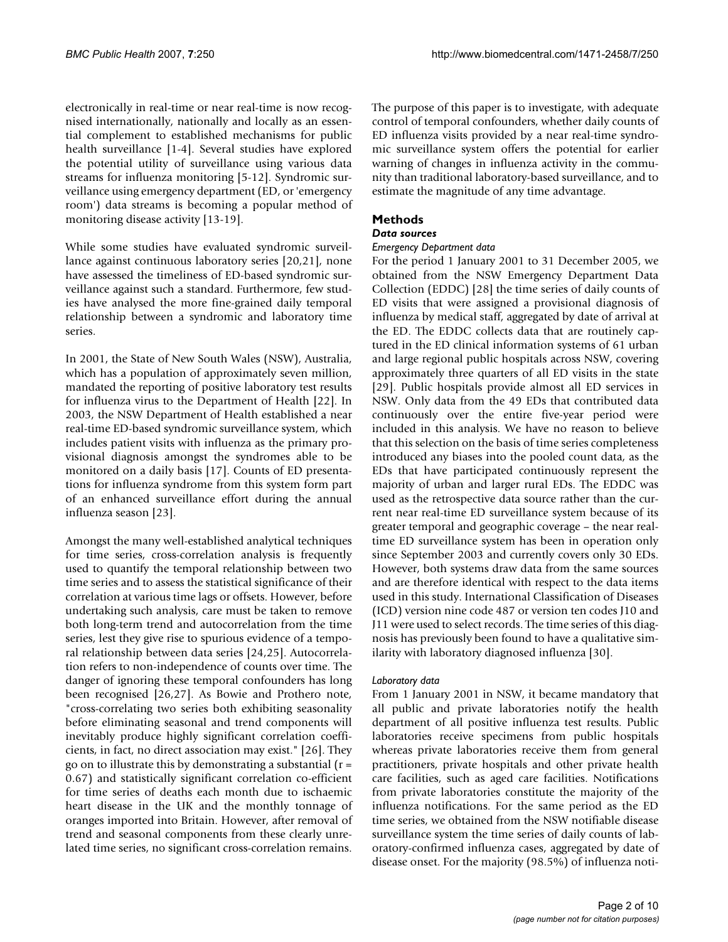electronically in real-time or near real-time is now recognised internationally, nationally and locally as an essential complement to established mechanisms for public health surveillance [1-4]. Several studies have explored the potential utility of surveillance using various data streams for influenza monitoring [5-12]. Syndromic surveillance using emergency department (ED, or 'emergency room') data streams is becoming a popular method of monitoring disease activity [13-19].

While some studies have evaluated syndromic surveillance against continuous laboratory series [20,21], none have assessed the timeliness of ED-based syndromic surveillance against such a standard. Furthermore, few studies have analysed the more fine-grained daily temporal relationship between a syndromic and laboratory time series.

In 2001, the State of New South Wales (NSW), Australia, which has a population of approximately seven million, mandated the reporting of positive laboratory test results for influenza virus to the Department of Health [22]. In 2003, the NSW Department of Health established a near real-time ED-based syndromic surveillance system, which includes patient visits with influenza as the primary provisional diagnosis amongst the syndromes able to be monitored on a daily basis [17]. Counts of ED presentations for influenza syndrome from this system form part of an enhanced surveillance effort during the annual influenza season [23].

Amongst the many well-established analytical techniques for time series, cross-correlation analysis is frequently used to quantify the temporal relationship between two time series and to assess the statistical significance of their correlation at various time lags or offsets. However, before undertaking such analysis, care must be taken to remove both long-term trend and autocorrelation from the time series, lest they give rise to spurious evidence of a temporal relationship between data series [24,25]. Autocorrelation refers to non-independence of counts over time. The danger of ignoring these temporal confounders has long been recognised [26,27]. As Bowie and Prothero note, "cross-correlating two series both exhibiting seasonality before eliminating seasonal and trend components will inevitably produce highly significant correlation coefficients, in fact, no direct association may exist." [26]. They go on to illustrate this by demonstrating a substantial  $(r =$ 0.67) and statistically significant correlation co-efficient for time series of deaths each month due to ischaemic heart disease in the UK and the monthly tonnage of oranges imported into Britain. However, after removal of trend and seasonal components from these clearly unrelated time series, no significant cross-correlation remains.

The purpose of this paper is to investigate, with adequate control of temporal confounders, whether daily counts of ED influenza visits provided by a near real-time syndromic surveillance system offers the potential for earlier warning of changes in influenza activity in the community than traditional laboratory-based surveillance, and to estimate the magnitude of any time advantage.

# **Methods**

# *Data sources*

# *Emergency Department data*

For the period 1 January 2001 to 31 December 2005, we obtained from the NSW Emergency Department Data Collection (EDDC) [28] the time series of daily counts of ED visits that were assigned a provisional diagnosis of influenza by medical staff, aggregated by date of arrival at the ED. The EDDC collects data that are routinely captured in the ED clinical information systems of 61 urban and large regional public hospitals across NSW, covering approximately three quarters of all ED visits in the state [29]. Public hospitals provide almost all ED services in NSW. Only data from the 49 EDs that contributed data continuously over the entire five-year period were included in this analysis. We have no reason to believe that this selection on the basis of time series completeness introduced any biases into the pooled count data, as the EDs that have participated continuously represent the majority of urban and larger rural EDs. The EDDC was used as the retrospective data source rather than the current near real-time ED surveillance system because of its greater temporal and geographic coverage – the near realtime ED surveillance system has been in operation only since September 2003 and currently covers only 30 EDs. However, both systems draw data from the same sources and are therefore identical with respect to the data items used in this study. International Classification of Diseases (ICD) version nine code 487 or version ten codes J10 and J11 were used to select records. The time series of this diagnosis has previously been found to have a qualitative similarity with laboratory diagnosed influenza [30].

# *Laboratory data*

From 1 January 2001 in NSW, it became mandatory that all public and private laboratories notify the health department of all positive influenza test results. Public laboratories receive specimens from public hospitals whereas private laboratories receive them from general practitioners, private hospitals and other private health care facilities, such as aged care facilities. Notifications from private laboratories constitute the majority of the influenza notifications. For the same period as the ED time series, we obtained from the NSW notifiable disease surveillance system the time series of daily counts of laboratory-confirmed influenza cases, aggregated by date of disease onset. For the majority (98.5%) of influenza noti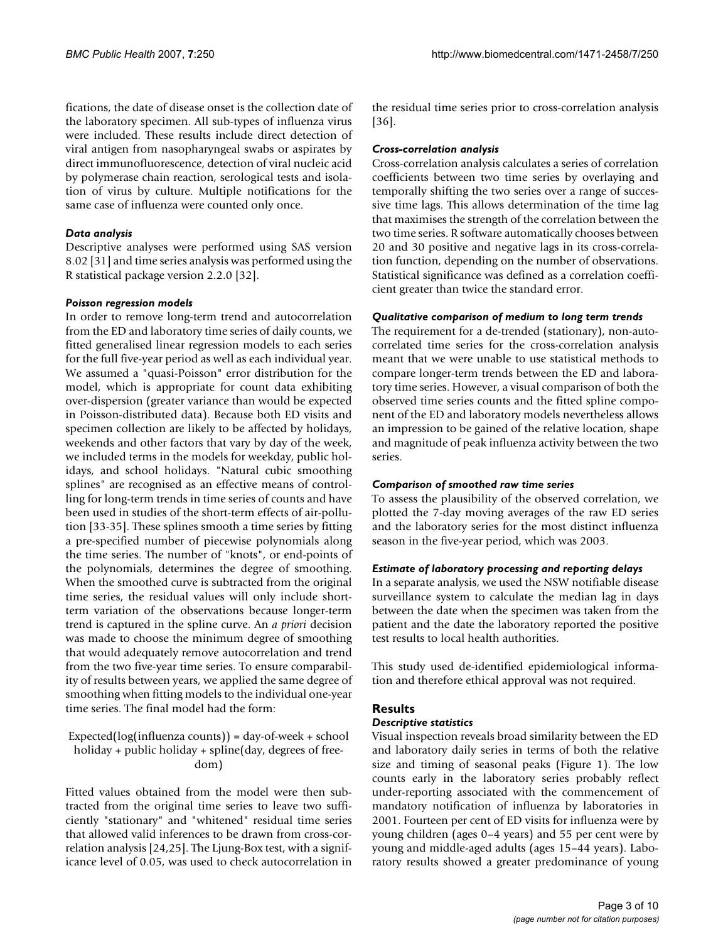fications, the date of disease onset is the collection date of the laboratory specimen. All sub-types of influenza virus were included. These results include direct detection of viral antigen from nasopharyngeal swabs or aspirates by direct immunofluorescence, detection of viral nucleic acid by polymerase chain reaction, serological tests and isolation of virus by culture. Multiple notifications for the same case of influenza were counted only once.

# *Data analysis*

Descriptive analyses were performed using SAS version 8.02 [31] and time series analysis was performed using the R statistical package version 2.2.0 [32].

# *Poisson regression models*

In order to remove long-term trend and autocorrelation from the ED and laboratory time series of daily counts, we fitted generalised linear regression models to each series for the full five-year period as well as each individual year. We assumed a "quasi-Poisson" error distribution for the model, which is appropriate for count data exhibiting over-dispersion (greater variance than would be expected in Poisson-distributed data). Because both ED visits and specimen collection are likely to be affected by holidays, weekends and other factors that vary by day of the week, we included terms in the models for weekday, public holidays, and school holidays. "Natural cubic smoothing splines" are recognised as an effective means of controlling for long-term trends in time series of counts and have been used in studies of the short-term effects of air-pollution [33-35]. These splines smooth a time series by fitting a pre-specified number of piecewise polynomials along the time series. The number of "knots", or end-points of the polynomials, determines the degree of smoothing. When the smoothed curve is subtracted from the original time series, the residual values will only include shortterm variation of the observations because longer-term trend is captured in the spline curve. An *a priori* decision was made to choose the minimum degree of smoothing that would adequately remove autocorrelation and trend from the two five-year time series. To ensure comparability of results between years, we applied the same degree of smoothing when fitting models to the individual one-year time series. The final model had the form:

# Expected(log(influenza counts)) = day-of-week + school holiday + public holiday + spline(day, degrees of freedom)

Fitted values obtained from the model were then subtracted from the original time series to leave two sufficiently "stationary" and "whitened" residual time series that allowed valid inferences to be drawn from cross-correlation analysis [24,25]. The Ljung-Box test, with a significance level of 0.05, was used to check autocorrelation in the residual time series prior to cross-correlation analysis [36].

# *Cross-correlation analysis*

Cross-correlation analysis calculates a series of correlation coefficients between two time series by overlaying and temporally shifting the two series over a range of successive time lags. This allows determination of the time lag that maximises the strength of the correlation between the two time series. R software automatically chooses between 20 and 30 positive and negative lags in its cross-correlation function, depending on the number of observations. Statistical significance was defined as a correlation coefficient greater than twice the standard error.

## *Qualitative comparison of medium to long term trends*

The requirement for a de-trended (stationary), non-autocorrelated time series for the cross-correlation analysis meant that we were unable to use statistical methods to compare longer-term trends between the ED and laboratory time series. However, a visual comparison of both the observed time series counts and the fitted spline component of the ED and laboratory models nevertheless allows an impression to be gained of the relative location, shape and magnitude of peak influenza activity between the two series.

# *Comparison of smoothed raw time series*

To assess the plausibility of the observed correlation, we plotted the 7-day moving averages of the raw ED series and the laboratory series for the most distinct influenza season in the five-year period, which was 2003.

# *Estimate of laboratory processing and reporting delays*

In a separate analysis, we used the NSW notifiable disease surveillance system to calculate the median lag in days between the date when the specimen was taken from the patient and the date the laboratory reported the positive test results to local health authorities.

This study used de-identified epidemiological information and therefore ethical approval was not required.

# **Results**

# *Descriptive statistics*

Visual inspection reveals broad similarity between the ED and laboratory daily series in terms of both the relative size and timing of seasonal peaks (Figure 1). The low counts early in the laboratory series probably reflect under-reporting associated with the commencement of mandatory notification of influenza by laboratories in 2001. Fourteen per cent of ED visits for influenza were by young children (ages 0–4 years) and 55 per cent were by young and middle-aged adults (ages 15–44 years). Laboratory results showed a greater predominance of young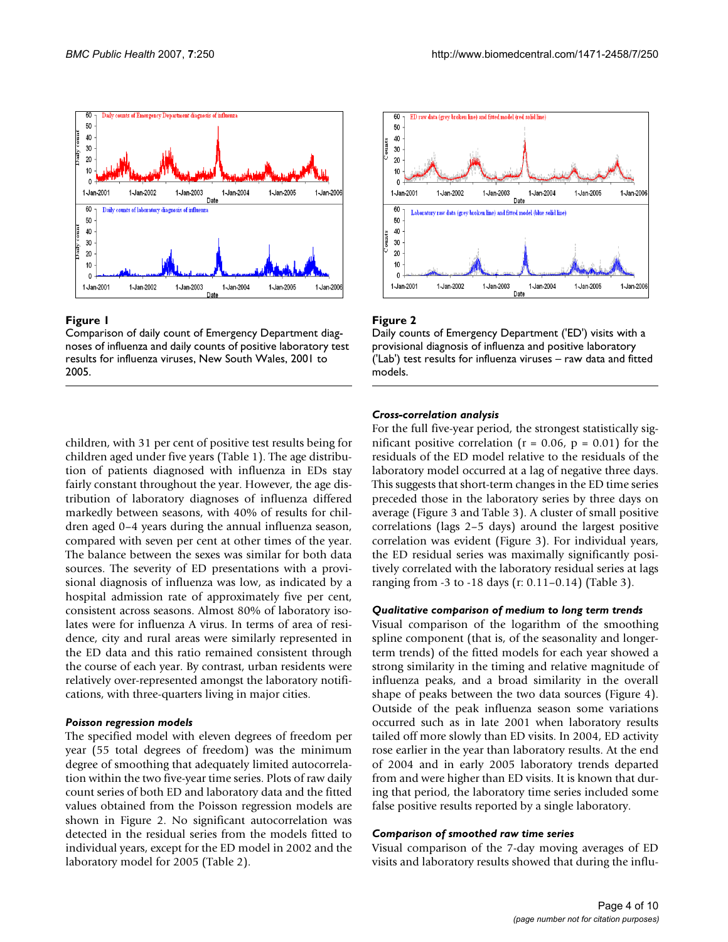

# Figure 1

Comparison of daily count of Emergency Department diagnoses of influenza and daily counts of positive laboratory test results for influenza viruses, New South Wales, 2001 to 2005.

children, with 31 per cent of positive test results being for children aged under five years (Table 1). The age distribution of patients diagnosed with influenza in EDs stay fairly constant throughout the year. However, the age distribution of laboratory diagnoses of influenza differed markedly between seasons, with 40% of results for children aged 0–4 years during the annual influenza season, compared with seven per cent at other times of the year. The balance between the sexes was similar for both data sources. The severity of ED presentations with a provisional diagnosis of influenza was low, as indicated by a hospital admission rate of approximately five per cent, consistent across seasons. Almost 80% of laboratory isolates were for influenza A virus. In terms of area of residence, city and rural areas were similarly represented in the ED data and this ratio remained consistent through the course of each year. By contrast, urban residents were relatively over-represented amongst the laboratory notifications, with three-quarters living in major cities.

# *Poisson regression models*

The specified model with eleven degrees of freedom per year (55 total degrees of freedom) was the minimum degree of smoothing that adequately limited autocorrelation within the two five-year time series. Plots of raw daily count series of both ED and laboratory data and the fitted values obtained from the Poisson regression models are shown in Figure 2. No significant autocorrelation was detected in the residual series from the models fitted to individual years, except for the ED model in 2002 and the laboratory model for 2005 (Table 2).



# **Figure 2**

Daily counts of Emergency Department ('ED') visits with a provisional diagnosis of influenza and positive laboratory ('Lab') test results for influenza viruses – raw data and fitted models.

# *Cross-correlation analysis*

For the full five-year period, the strongest statistically significant positive correlation ( $r = 0.06$ ,  $p = 0.01$ ) for the residuals of the ED model relative to the residuals of the laboratory model occurred at a lag of negative three days. This suggests that short-term changes in the ED time series preceded those in the laboratory series by three days on average (Figure 3 and Table 3). A cluster of small positive correlations (lags 2–5 days) around the largest positive correlation was evident (Figure 3). For individual years, the ED residual series was maximally significantly positively correlated with the laboratory residual series at lags ranging from -3 to -18 days (r: 0.11–0.14) (Table 3).

# *Qualitative comparison of medium to long term trends*

Visual comparison of the logarithm of the smoothing spline component (that is, of the seasonality and longerterm trends) of the fitted models for each year showed a strong similarity in the timing and relative magnitude of influenza peaks, and a broad similarity in the overall shape of peaks between the two data sources (Figure 4). Outside of the peak influenza season some variations occurred such as in late 2001 when laboratory results tailed off more slowly than ED visits. In 2004, ED activity rose earlier in the year than laboratory results. At the end of 2004 and in early 2005 laboratory trends departed from and were higher than ED visits. It is known that during that period, the laboratory time series included some false positive results reported by a single laboratory.

# *Comparison of smoothed raw time series*

Visual comparison of the 7-day moving averages of ED visits and laboratory results showed that during the influ-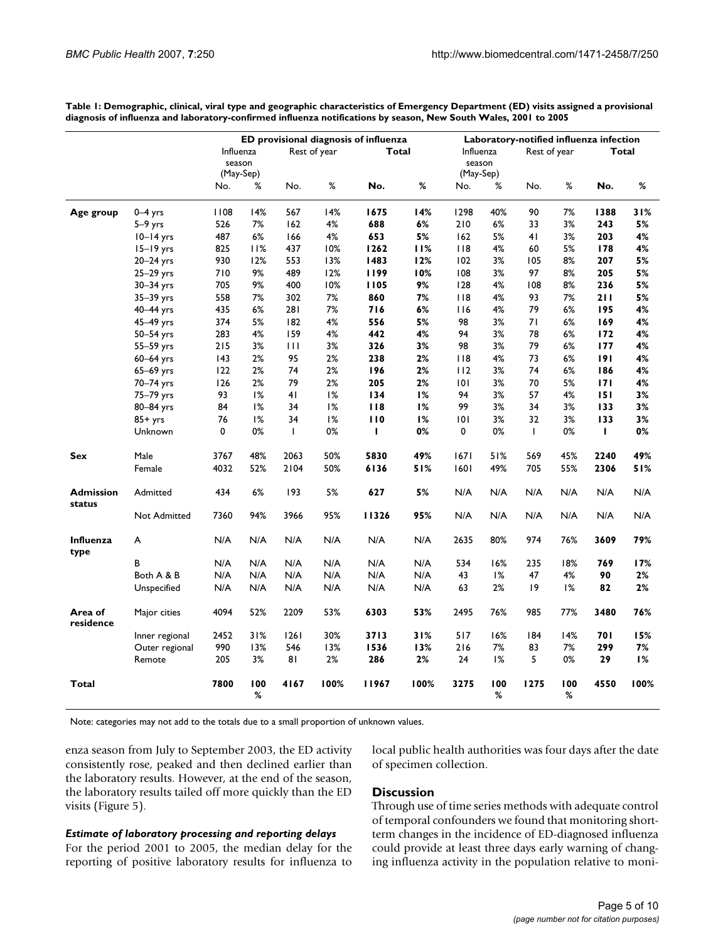|                            |                |      | ED provisional diagnosis of influenza            |              |                                           | Laboratory-notified influenza infection |      |              |          |              |          |      |       |
|----------------------------|----------------|------|--------------------------------------------------|--------------|-------------------------------------------|-----------------------------------------|------|--------------|----------|--------------|----------|------|-------|
|                            |                |      | Influenza<br>Rest of year<br>season<br>(May-Sep) |              | Total<br>Influenza<br>season<br>(May-Sep) |                                         |      | Rest of year |          | Total        |          |      |       |
|                            |                | No.  | %                                                | No.          | %                                         | No.                                     | %    | No.          | %        | No.          | %        | No.  | $\%$  |
| Age group                  | $0 - 4$ yrs    | 1108 | 14%                                              | 567          | 14%                                       | 1675                                    | 14%  | 1298         | 40%      | 90           | 7%       | 1388 | 31%   |
|                            | $5-9$ yrs      | 526  | 7%                                               | 162          | 4%                                        | 688                                     | 6%   | 210          | 6%       | 33           | 3%       | 243  | 5%    |
|                            | $10 - 14$ yrs  | 487  | 6%                                               | 166          | 4%                                        | 653                                     | 5%   | 162          | 5%       | 41           | 3%       | 203  | 4%    |
|                            | 15-19 yrs      | 825  | 11%                                              | 437          | 10%                                       | 1262                                    | 11%  | $ $ $ $ $ $  | 4%       | 60           | 5%       | 178  | 4%    |
|                            | $20 - 24$ yrs  | 930  | 12%                                              | 553          | 13%                                       | 1483                                    | 12%  | 102          | 3%       | 105          | 8%       | 207  | 5%    |
|                            | $25-29$ yrs    | 710  | 9%                                               | 489          | 12%                                       | 1199                                    | 10%  | 108          | 3%       | 97           | 8%       | 205  | 5%    |
|                            | $30 - 34$ yrs  | 705  | 9%                                               | 400          | 10%                                       | 1105                                    | 9%   | 128          | 4%       | 108          | 8%       | 236  | 5%    |
|                            | $35-39$ yrs    | 558  | 7%                                               | 302          | 7%                                        | 860                                     | 7%   | 118          | 4%       | 93           | 7%       | 211  | 5%    |
|                            | $40-44$ yrs    | 435  | 6%                                               | 281          | 7%                                        | 716                                     | 6%   | 116          | 4%       | 79           | 6%       | 195  | 4%    |
|                            | 45-49 yrs      | 374  | 5%                                               | 182          | 4%                                        | 556                                     | 5%   | 98           | 3%       | 71           | 6%       | 169  | 4%    |
|                            | 50-54 yrs      | 283  | 4%                                               | 159          | 4%                                        | 442                                     | 4%   | 94           | 3%       | 78           | 6%       | 172  | 4%    |
|                            | 55-59 yrs      | 215  | 3%                                               | $\mathbf{H}$ | 3%                                        | 326                                     | 3%   | 98           | 3%       | 79           | 6%       | 177  | 4%    |
|                            | $60-64$ yrs    | 143  | 2%                                               | 95           | 2%                                        | 238                                     | 2%   | 18           | 4%       | 73           | 6%       | 191  | 4%    |
|                            | $65-69$ yrs    | 122  | 2%                                               | 74           | 2%                                        | 196                                     | 2%   | 112          | 3%       | 74           | 6%       | 186  | 4%    |
|                            | 70-74 yrs      | 126  | 2%                                               | 79           | 2%                                        | 205                                     | 2%   | 101          | 3%       | 70           | 5%       | 171  | 4%    |
|                            | 75-79 yrs      | 93   | 1%                                               | 41           | 1%                                        | 134                                     | 1%   | 94           | 3%       | 57           | 4%       | 151  | 3%    |
|                            | 80-84 yrs      | 84   | 1%                                               | 34           | 1%                                        | 118                                     | 1%   | 99           | 3%       | 34           | 3%       | 133  | 3%    |
|                            | $85+$ yrs      | 76   | 1%                                               | 34           | 1%                                        | 110                                     | 1%   | 101          | 3%       | 32           | 3%       | 133  | 3%    |
|                            | Unknown        | 0    | 0%                                               | $\mathbf{I}$ | 0%                                        | п                                       | 0%   | 0            | 0%       | $\mathbf{I}$ | 0%       | L    | 0%    |
| Sex                        | Male           | 3767 | 48%                                              | 2063         | 50%                                       | 5830                                    | 49%  | 1671         | 51%      | 569          | 45%      | 2240 | 49%   |
|                            | Female         | 4032 | 52%                                              | 2104         | 50%                                       | 6136                                    | 51%  | 1601         | 49%      | 705          | 55%      | 2306 | 51%   |
| <b>Admission</b><br>status | Admitted       | 434  | 6%                                               | 193          | 5%                                        | 627                                     | 5%   | N/A          | N/A      | N/A          | N/A      | N/A  | N/A   |
|                            | Not Admitted   | 7360 | 94%                                              | 3966         | 95%                                       | 11326                                   | 95%  | N/A          | N/A      | N/A          | N/A      | N/A  | N/A   |
| Influenza<br>type          | A              | N/A  | N/A                                              | N/A          | N/A                                       | N/A                                     | N/A  | 2635         | 80%      | 974          | 76%      | 3609 | 79%   |
|                            | В              | N/A  | N/A                                              | N/A          | N/A                                       | N/A                                     | N/A  | 534          | 16%      | 235          | 18%      | 769  | 17%   |
|                            | Both A & B     | N/A  | N/A                                              | N/A          | N/A                                       | N/A                                     | N/A  | 43           | 1%       | 47           | 4%       | 90   | $2\%$ |
|                            | Unspecified    | N/A  | N/A                                              | N/A          | N/A                                       | N/A                                     | N/A  | 63           | 2%       | 9            | 1%       | 82   | 2%    |
| Area of<br>residence       | Major cities   | 4094 | 52%                                              | 2209         | 53%                                       | 6303                                    | 53%  | 2495         | 76%      | 985          | 77%      | 3480 | 76%   |
|                            | Inner regional | 2452 | 31%                                              | 1261         | 30%                                       | 3713                                    | 31%  | 517          | 16%      | 184          | 14%      | 70 I | 15%   |
|                            | Outer regional | 990  | 13%                                              | 546          | 13%                                       | 1536                                    | 13%  | 216          | $7\%$    | 83           | $7\%$    | 299  | 7%    |
|                            | Remote         | 205  | 3%                                               | 81           | 2%                                        | 286                                     | 2%   | 24           | 1%       | 5            | 0%       | 29   | 1%    |
| Total                      |                | 7800 | 100<br>%                                         | 4167         | 100%                                      | 11967                                   | 100% | 3275         | 100<br>% | 1275         | 100<br>% | 4550 | 100%  |

**Table 1: Demographic, clinical, viral type and geographic characteristics of Emergency Department (ED) visits assigned a provisional diagnosis of influenza and laboratory-confirmed influenza notifications by season, New South Wales, 2001 to 2005**

Note: categories may not add to the totals due to a small proportion of unknown values.

enza season from July to September 2003, the ED activity consistently rose, peaked and then declined earlier than the laboratory results. However, at the end of the season, the laboratory results tailed off more quickly than the ED visits (Figure 5).

#### *Estimate of laboratory processing and reporting delays*

For the period 2001 to 2005, the median delay for the reporting of positive laboratory results for influenza to local public health authorities was four days after the date of specimen collection.

# **Discussion**

Through use of time series methods with adequate control of temporal confounders we found that monitoring shortterm changes in the incidence of ED-diagnosed influenza could provide at least three days early warning of changing influenza activity in the population relative to moni-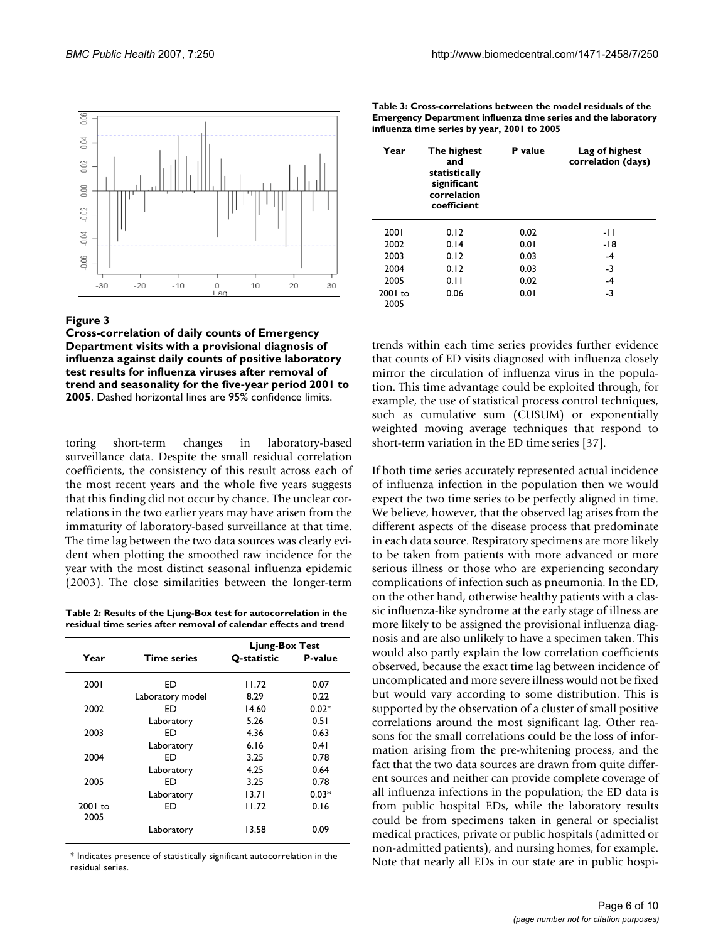

#### Figure 3

**Cross-correlation of daily counts of Emergency Department visits with a provisional diagnosis of influenza against daily counts of positive laboratory test results for influenza viruses after removal of trend and seasonality for the five-year period 2001 to 2005**. Dashed horizontal lines are 95% confidence limits.

toring short-term changes in laboratory-based surveillance data. Despite the small residual correlation coefficients, the consistency of this result across each of the most recent years and the whole five years suggests that this finding did not occur by chance. The unclear correlations in the two earlier years may have arisen from the immaturity of laboratory-based surveillance at that time. The time lag between the two data sources was clearly evident when plotting the smoothed raw incidence for the year with the most distinct seasonal influenza epidemic (2003). The close similarities between the longer-term

**Table 2: Results of the Ljung-Box test for autocorrelation in the residual time series after removal of calendar effects and trend**

|                 |                    | <b>Ljung-Box Test</b> |                |  |  |
|-----------------|--------------------|-----------------------|----------------|--|--|
| Year            | <b>Time series</b> | Q-statistic           | <b>P-value</b> |  |  |
| 2001            | ED                 | 11.72                 | 0.07           |  |  |
|                 | Laboratory model   | 8.29                  | 0.22           |  |  |
| 2002            | FD                 | 14.60                 | $0.02*$        |  |  |
|                 | Laboratory         | 5.26                  | 0.51           |  |  |
| 2003            | ED                 | 4.36                  | 0.63           |  |  |
|                 | Laboratory         | 6.16                  | 0.41           |  |  |
| 2004            | FD                 | 3.25                  | 0.78           |  |  |
|                 | Laboratory         | 4.25                  | 0.64           |  |  |
| 2005            | ED                 | 3.25                  | 0.78           |  |  |
|                 | Laboratory         | 13.71                 | $0.03*$        |  |  |
| 2001 to<br>2005 | ED                 | 11.72                 | 0.16           |  |  |
|                 | Laboratory         | 13.58                 | 0.09           |  |  |

\* Indicates presence of statistically significant autocorrelation in the residual series.

| Year              | The highest<br>and<br>statistically<br>significant<br>correlation<br>coefficient | P value | Lag of highest<br>correlation (days) |
|-------------------|----------------------------------------------------------------------------------|---------|--------------------------------------|
| 2001              | 0.12                                                                             | 0.02    | -11                                  |
| 2002              | 0.14                                                                             | 0.01    | -18                                  |
| 2003              | 0.12                                                                             | 0.03    | -4                                   |
| 2004              | 0.12                                                                             | 0.03    | $-3$                                 |
| 2005              | 0.11                                                                             | 0.02    | -4                                   |
| $2001$ to<br>2005 | 0.06                                                                             | 0.01    | $-3$                                 |

trends within each time series provides further evidence that counts of ED visits diagnosed with influenza closely mirror the circulation of influenza virus in the population. This time advantage could be exploited through, for example, the use of statistical process control techniques, such as cumulative sum (CUSUM) or exponentially weighted moving average techniques that respond to

short-term variation in the ED time series [37].

If both time series accurately represented actual incidence of influenza infection in the population then we would expect the two time series to be perfectly aligned in time. We believe, however, that the observed lag arises from the different aspects of the disease process that predominate in each data source. Respiratory specimens are more likely to be taken from patients with more advanced or more serious illness or those who are experiencing secondary complications of infection such as pneumonia. In the ED, on the other hand, otherwise healthy patients with a classic influenza-like syndrome at the early stage of illness are more likely to be assigned the provisional influenza diagnosis and are also unlikely to have a specimen taken. This would also partly explain the low correlation coefficients observed, because the exact time lag between incidence of uncomplicated and more severe illness would not be fixed but would vary according to some distribution. This is supported by the observation of a cluster of small positive correlations around the most significant lag. Other reasons for the small correlations could be the loss of information arising from the pre-whitening process, and the fact that the two data sources are drawn from quite different sources and neither can provide complete coverage of all influenza infections in the population; the ED data is from public hospital EDs, while the laboratory results could be from specimens taken in general or specialist medical practices, private or public hospitals (admitted or non-admitted patients), and nursing homes, for example. Note that nearly all EDs in our state are in public hospi-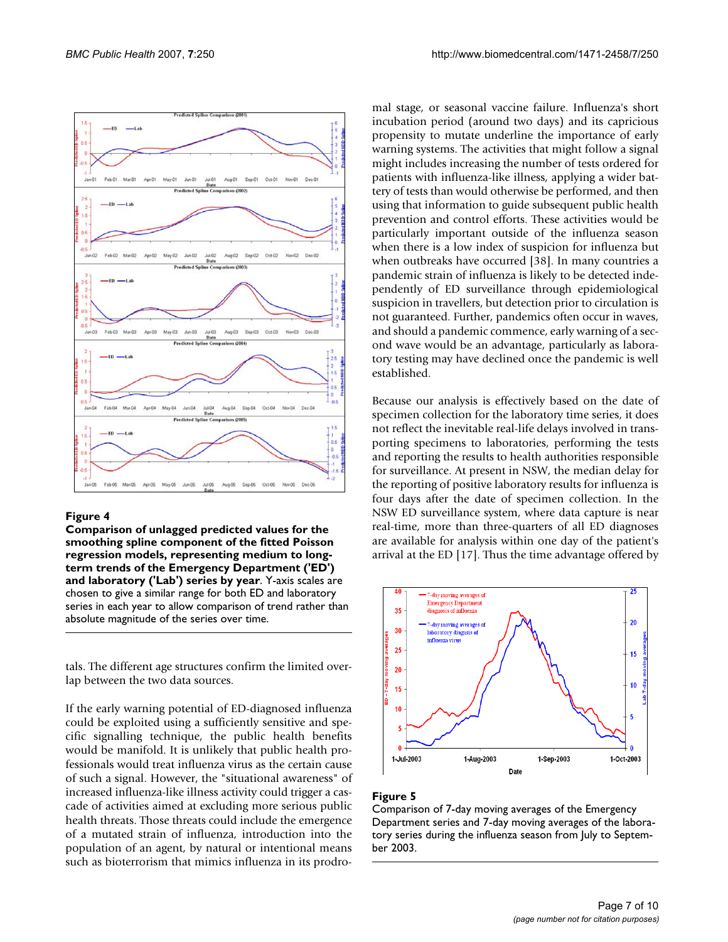

#### Figure 4

**Comparison of unlagged predicted values for the smoothing spline component of the fitted Poisson regression models, representing medium to longterm trends of the Emergency Department ('ED') and laboratory ('Lab') series by year**. Y-axis scales are chosen to give a similar range for both ED and laboratory series in each year to allow comparison of trend rather than absolute magnitude of the series over time.

tals. The different age structures confirm the limited overlap between the two data sources.

If the early warning potential of ED-diagnosed influenza could be exploited using a sufficiently sensitive and specific signalling technique, the public health benefits would be manifold. It is unlikely that public health professionals would treat influenza virus as the certain cause of such a signal. However, the "situational awareness" of increased influenza-like illness activity could trigger a cascade of activities aimed at excluding more serious public health threats. Those threats could include the emergence of a mutated strain of influenza, introduction into the population of an agent, by natural or intentional means such as bioterrorism that mimics influenza in its prodromal stage, or seasonal vaccine failure. Influenza's short incubation period (around two days) and its capricious propensity to mutate underline the importance of early warning systems. The activities that might follow a signal might includes increasing the number of tests ordered for patients with influenza-like illness, applying a wider battery of tests than would otherwise be performed, and then using that information to guide subsequent public health prevention and control efforts. These activities would be particularly important outside of the influenza season when there is a low index of suspicion for influenza but when outbreaks have occurred [38]. In many countries a pandemic strain of influenza is likely to be detected independently of ED surveillance through epidemiological suspicion in travellers, but detection prior to circulation is not guaranteed. Further, pandemics often occur in waves, and should a pandemic commence, early warning of a second wave would be an advantage, particularly as laboratory testing may have declined once the pandemic is well established.

Because our analysis is effectively based on the date of specimen collection for the laboratory time series, it does not reflect the inevitable real-life delays involved in transporting specimens to laboratories, performing the tests and reporting the results to health authorities responsible for surveillance. At present in NSW, the median delay for the reporting of positive laboratory results for influenza is four days after the date of specimen collection. In the NSW ED surveillance system, where data capture is near real-time, more than three-quarters of all ED diagnoses are available for analysis within one day of the patient's arrival at the ED [17]. Thus the time advantage offered by



#### Figure 5

Comparison of 7-day moving averages of the Emergency Department series and 7-day moving averages of the laboratory series during the influenza season from July to September 2003.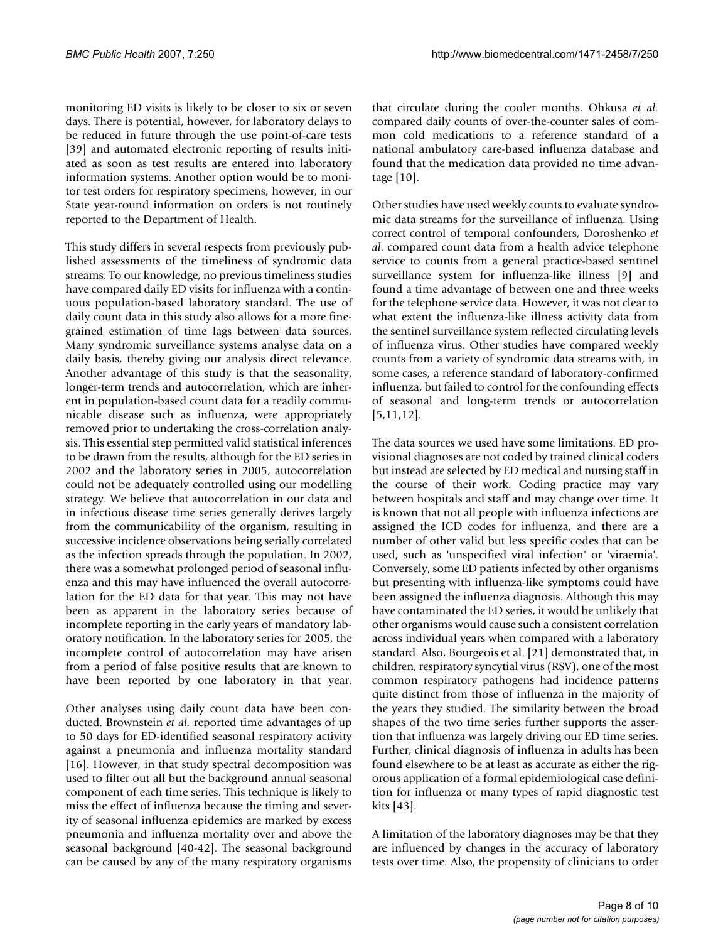monitoring ED visits is likely to be closer to six or seven days. There is potential, however, for laboratory delays to be reduced in future through the use point-of-care tests [39] and automated electronic reporting of results initiated as soon as test results are entered into laboratory information systems. Another option would be to monitor test orders for respiratory specimens, however, in our State year-round information on orders is not routinely reported to the Department of Health.

This study differs in several respects from previously published assessments of the timeliness of syndromic data streams. To our knowledge, no previous timeliness studies have compared daily ED visits for influenza with a continuous population-based laboratory standard. The use of daily count data in this study also allows for a more finegrained estimation of time lags between data sources. Many syndromic surveillance systems analyse data on a daily basis, thereby giving our analysis direct relevance. Another advantage of this study is that the seasonality, longer-term trends and autocorrelation, which are inherent in population-based count data for a readily communicable disease such as influenza, were appropriately removed prior to undertaking the cross-correlation analysis. This essential step permitted valid statistical inferences to be drawn from the results, although for the ED series in 2002 and the laboratory series in 2005, autocorrelation could not be adequately controlled using our modelling strategy. We believe that autocorrelation in our data and in infectious disease time series generally derives largely from the communicability of the organism, resulting in successive incidence observations being serially correlated as the infection spreads through the population. In 2002, there was a somewhat prolonged period of seasonal influenza and this may have influenced the overall autocorrelation for the ED data for that year. This may not have been as apparent in the laboratory series because of incomplete reporting in the early years of mandatory laboratory notification. In the laboratory series for 2005, the incomplete control of autocorrelation may have arisen from a period of false positive results that are known to have been reported by one laboratory in that year.

Other analyses using daily count data have been conducted. Brownstein *et al.* reported time advantages of up to 50 days for ED-identified seasonal respiratory activity against a pneumonia and influenza mortality standard [16]. However, in that study spectral decomposition was used to filter out all but the background annual seasonal component of each time series. This technique is likely to miss the effect of influenza because the timing and severity of seasonal influenza epidemics are marked by excess pneumonia and influenza mortality over and above the seasonal background [40-42]. The seasonal background can be caused by any of the many respiratory organisms

that circulate during the cooler months. Ohkusa *et al.* compared daily counts of over-the-counter sales of common cold medications to a reference standard of a national ambulatory care-based influenza database and found that the medication data provided no time advantage [10].

Other studies have used weekly counts to evaluate syndromic data streams for the surveillance of influenza. Using correct control of temporal confounders, Doroshenko *et al*. compared count data from a health advice telephone service to counts from a general practice-based sentinel surveillance system for influenza-like illness [9] and found a time advantage of between one and three weeks for the telephone service data. However, it was not clear to what extent the influenza-like illness activity data from the sentinel surveillance system reflected circulating levels of influenza virus. Other studies have compared weekly counts from a variety of syndromic data streams with, in some cases, a reference standard of laboratory-confirmed influenza, but failed to control for the confounding effects of seasonal and long-term trends or autocorrelation [5,11,12].

The data sources we used have some limitations. ED provisional diagnoses are not coded by trained clinical coders but instead are selected by ED medical and nursing staff in the course of their work. Coding practice may vary between hospitals and staff and may change over time. It is known that not all people with influenza infections are assigned the ICD codes for influenza, and there are a number of other valid but less specific codes that can be used, such as 'unspecified viral infection' or 'viraemia'. Conversely, some ED patients infected by other organisms but presenting with influenza-like symptoms could have been assigned the influenza diagnosis. Although this may have contaminated the ED series, it would be unlikely that other organisms would cause such a consistent correlation across individual years when compared with a laboratory standard. Also, Bourgeois et al. [21] demonstrated that, in children, respiratory syncytial virus (RSV), one of the most common respiratory pathogens had incidence patterns quite distinct from those of influenza in the majority of the years they studied. The similarity between the broad shapes of the two time series further supports the assertion that influenza was largely driving our ED time series. Further, clinical diagnosis of influenza in adults has been found elsewhere to be at least as accurate as either the rigorous application of a formal epidemiological case definition for influenza or many types of rapid diagnostic test kits [43].

A limitation of the laboratory diagnoses may be that they are influenced by changes in the accuracy of laboratory tests over time. Also, the propensity of clinicians to order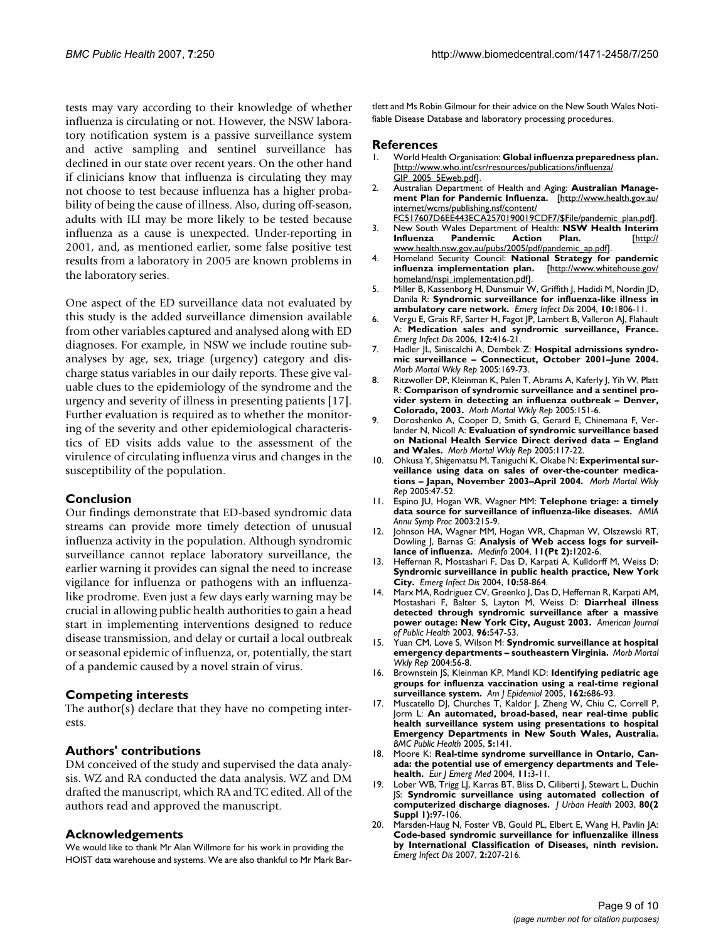tests may vary according to their knowledge of whether influenza is circulating or not. However, the NSW laboratory notification system is a passive surveillance system and active sampling and sentinel surveillance has declined in our state over recent years. On the other hand if clinicians know that influenza is circulating they may not choose to test because influenza has a higher probability of being the cause of illness. Also, during off-season, adults with ILI may be more likely to be tested because influenza as a cause is unexpected. Under-reporting in 2001, and, as mentioned earlier, some false positive test results from a laboratory in 2005 are known problems in the laboratory series.

One aspect of the ED surveillance data not evaluated by this study is the added surveillance dimension available from other variables captured and analysed along with ED diagnoses. For example, in NSW we include routine subanalyses by age, sex, triage (urgency) category and discharge status variables in our daily reports. These give valuable clues to the epidemiology of the syndrome and the urgency and severity of illness in presenting patients [17]. Further evaluation is required as to whether the monitoring of the severity and other epidemiological characteristics of ED visits adds value to the assessment of the virulence of circulating influenza virus and changes in the susceptibility of the population.

# **Conclusion**

Our findings demonstrate that ED-based syndromic data streams can provide more timely detection of unusual influenza activity in the population. Although syndromic surveillance cannot replace laboratory surveillance, the earlier warning it provides can signal the need to increase vigilance for influenza or pathogens with an influenzalike prodrome. Even just a few days early warning may be crucial in allowing public health authorities to gain a head start in implementing interventions designed to reduce disease transmission, and delay or curtail a local outbreak or seasonal epidemic of influenza, or, potentially, the start of a pandemic caused by a novel strain of virus.

# **Competing interests**

The author(s) declare that they have no competing interests.

# **Authors' contributions**

DM conceived of the study and supervised the data analysis. WZ and RA conducted the data analysis. WZ and DM drafted the manuscript, which RA and TC edited. All of the authors read and approved the manuscript.

# **Acknowledgements**

We would like to thank Mr Alan Willmore for his work in providing the HOIST data warehouse and systems. We are also thankful to Mr Mark Bartlett and Ms Robin Gilmour for their advice on the New South Wales Notifiable Disease Database and laboratory processing procedures.

## **References**

- 1. World Health Organisation: **Global influenza preparedness plan.** [[http://www.who.int/csr/resources/publications/influenza/](http://www.who.int/csr/resources/publications/influenza/GIP_2005_5Eweb.pdf) [GIP\\_2005\\_5Eweb.pdf](http://www.who.int/csr/resources/publications/influenza/GIP_2005_5Eweb.pdf)].
- 2. Australian Department of Health and Aging: **Australian Management Plan for Pandemic Influenza.** [\[http://www.health.gov.au/](http://www.health.gov.au/internet/wcms/publishing.nsf/content/FC517607D6EE443ECA2570190019CDF7/$File/pandemic_plan.pdf) [internet/wcms/publishing.nsf/content/](http://www.health.gov.au/internet/wcms/publishing.nsf/content/FC517607D6EE443ECA2570190019CDF7/$File/pandemic_plan.pdf)
- [FC517607D6EE443ECA2570190019CDF7/\\$File/pandemic\\_plan.pdf](http://www.health.gov.au/internet/wcms/publishing.nsf/content/FC517607D6EE443ECA2570190019CDF7/$File/pandemic_plan.pdf)]. 3. New South Wales Department of Health: **NSW Health Interim Influenza Pandemic Action Plan.** [\[http://](http://www.health.nsw.gov.au/pubs/2005/pdf/pandemic_ap.pdf) [www.health.nsw.gov.au/pubs/2005/pdf/pandemic\\_ap.pdf\]](http://www.health.nsw.gov.au/pubs/2005/pdf/pandemic_ap.pdf).
- 4. Homeland Security Council: **National Strategy for pandemic** influenza implementation plan. [homeland/nspi\\_implementation.pdf](http://www.whitehouse.gov/homeland/nspi_implementation.pdf)].
- 5. Miller B, Kassenborg H, Dunsmuir W, Griffith J, Hadidi M, Nordin JD, Danila R: **[Syndromic surveillance for influenza-like illness in](http://www.ncbi.nlm.nih.gov/entrez/query.fcgi?cmd=Retrieve&db=PubMed&dopt=Abstract&list_uids=15504267) [ambulatory care network.](http://www.ncbi.nlm.nih.gov/entrez/query.fcgi?cmd=Retrieve&db=PubMed&dopt=Abstract&list_uids=15504267)** *Emerg Infect Dis* 2004, **10:**1806-11.
- 6. Vergu E, Grais RF, Sarter H, Fagot JP, Lambert B, Valleron AJ, Flahault A: **[Medication sales and syndromic surveillance, France.](http://www.ncbi.nlm.nih.gov/entrez/query.fcgi?cmd=Retrieve&db=PubMed&dopt=Abstract&list_uids=16704778)** *Emerg Infect Dis* 2006, **12:**416-21.
- 7. Hadler JL, Siniscalchi A, Dembek Z: **Hospital admissions syndromic surveillance – Connecticut, October 2001–June 2004.** *Morb Mortal Wkly Rep* 2005:169-73.
- 8. Ritzwoller DP, Kleinman K, Palen T, Abrams A, Kaferly J, Yih W, Platt R: **Comparison of syndromic surveillance and a sentinel provider system in detecting an influenza outbreak – Denver, Colorado, 2003.** *Morb Mortal Wkly Rep* 2005:151-6.
- 9. Doroshenko A, Cooper D, Smith G, Gerard E, Chinemana F, Verlander N, Nicoll A: **Evaluation of syndromic surveillance based on National Health Service Direct derived data – England and Wales.** *Morb Mortal Wkly Rep* 2005:117-22.
- 10. Ohkusa Y, Shigematsu M, Taniguchi K, Okabe N: **Experimental surveillance using data on sales of over-the-counter medications – Japan, November 2003–April 2004.** *Morb Mortal Wkly Rep* 2005:47-52.
- 11. Espino JU, Hogan WR, Wagner MM: **[Telephone triage: a timely](http://www.ncbi.nlm.nih.gov/entrez/query.fcgi?cmd=Retrieve&db=PubMed&dopt=Abstract&list_uids=14728165) [data source for surveillance of influenza-like diseases.](http://www.ncbi.nlm.nih.gov/entrez/query.fcgi?cmd=Retrieve&db=PubMed&dopt=Abstract&list_uids=14728165)** *AMIA Annu Symp Proc* 2003:215-9.
- 12. Johnson HA, Wagner MM, Hogan WR, Chapman W, Olszewski RT, Dowling J, Barnas G: **[Analysis of Web access logs for surveil](http://www.ncbi.nlm.nih.gov/entrez/query.fcgi?cmd=Retrieve&db=PubMed&dopt=Abstract&list_uids=15361003)[lance of influenza.](http://www.ncbi.nlm.nih.gov/entrez/query.fcgi?cmd=Retrieve&db=PubMed&dopt=Abstract&list_uids=15361003)** *Medinfo* 2004, **11(Pt 2):**1202-6.
- 13. Heffernan R, Mostashari F, Das D, Karpati A, Kulldorff M, Weiss D: **Syndromic surveillance in public health practice, New York City.** *Emerg Infect Dis* 2004, **10:**58-864.
- 14. Marx MA, Rodriguez CV, Greenko J, Das D, Heffernan R, Karpati AM, Mostashari F, Balter S, Layton M, Weiss D: **Diarrheal illness detected through syndromic surveillance after a massive power outage: New York City, August 2003.** *American Journal of Public Health* 2003, **96:**547-53.
- 15. Yuan CM, Love S, Wilson M: **Syndromic surveillance at hospital emergency departments – southeastern Virginia.** *Morb Mortal Wkly Rep* 2004:56-8.
- 16. Brownstein JS, Kleinman KP, Mandl KD: **[Identifying pediatric age](http://www.ncbi.nlm.nih.gov/entrez/query.fcgi?cmd=Retrieve&db=PubMed&dopt=Abstract&list_uids=16107568) [groups for influenza vaccination using a real-time regional](http://www.ncbi.nlm.nih.gov/entrez/query.fcgi?cmd=Retrieve&db=PubMed&dopt=Abstract&list_uids=16107568) [surveillance system.](http://www.ncbi.nlm.nih.gov/entrez/query.fcgi?cmd=Retrieve&db=PubMed&dopt=Abstract&list_uids=16107568)** *Am J Epidemiol* 2005, **162:**686-93.
- 17. Muscatello DJ, Churches T, Kaldor J, Zheng W, Chiu C, Correll P, Jorm L: **[An automated, broad-based, near real-time public](http://www.ncbi.nlm.nih.gov/entrez/query.fcgi?cmd=Retrieve&db=PubMed&dopt=Abstract&list_uids=16372902) health surveillance system using presentations to hospital [Emergency Departments in New South Wales, Australia.](http://www.ncbi.nlm.nih.gov/entrez/query.fcgi?cmd=Retrieve&db=PubMed&dopt=Abstract&list_uids=16372902)** *BMC Public Health* 2005, **5:**141.
- 18. Moore K: **[Real-time syndrome surveillance in Ontario, Can](http://www.ncbi.nlm.nih.gov/entrez/query.fcgi?cmd=Retrieve&db=PubMed&dopt=Abstract&list_uids=15167186)[ada: the potential use of emergency departments and Tele](http://www.ncbi.nlm.nih.gov/entrez/query.fcgi?cmd=Retrieve&db=PubMed&dopt=Abstract&list_uids=15167186)[health.](http://www.ncbi.nlm.nih.gov/entrez/query.fcgi?cmd=Retrieve&db=PubMed&dopt=Abstract&list_uids=15167186)** *Eur J Emerg Med* 2004, **11:**3-11.
- 19. Lober WB, Trigg LJ, Karras BT, Bliss D, Ciliberti J, Stewart L, Duchin JS: **Syndromic surveillance using automated collection of computerized discharge diagnoses.** *J Urban Health* 2003, **80(2 Suppl 1):**97-106.
- 20. Marsden-Haug N, Foster VB, Gould PL, Elbert E, Wang H, Pavlin JA: **Code-based syndromic surveillance for influenzalike illness by International Classification of Diseases, ninth revision.** *Emerg Infect Dis* 2007, **2:**207-216.